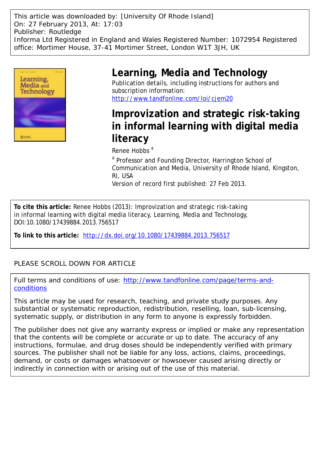This article was downloaded by: [University Of Rhode Island] On: 27 February 2013, At: 17:03 Publisher: Routledge Informa Ltd Registered in England and Wales Registered Number: 1072954 Registered office: Mortimer House, 37-41 Mortimer Street, London W1T 3JH, UK



# **Learning, Media and Technology**

Publication details, including instructions for authors and subscription information: <http://www.tandfonline.com/loi/cjem20>

# **Improvization and strategic risk-taking in informal learning with digital media literacy**

Renee Hobbs<sup>a</sup>

<sup>a</sup> Professor and Founding Director, Harrington School of Communication and Media, University of Rhode Island, Kingston, RI, USA

Version of record first published: 27 Feb 2013.

**To cite this article:** Renee Hobbs (2013): Improvization and strategic risk-taking in informal learning with digital media literacy, Learning, Media and Technology, DOI:10.1080/17439884.2013.756517

**To link to this article:** <http://dx.doi.org/10.1080/17439884.2013.756517>

# PLEASE SCROLL DOWN FOR ARTICLE

Full terms and conditions of use: [http://www.tandfonline.com/page/terms-and](http://www.tandfonline.com/page/terms-and-conditions)[conditions](http://www.tandfonline.com/page/terms-and-conditions)

This article may be used for research, teaching, and private study purposes. Any substantial or systematic reproduction, redistribution, reselling, loan, sub-licensing, systematic supply, or distribution in any form to anyone is expressly forbidden.

The publisher does not give any warranty express or implied or make any representation that the contents will be complete or accurate or up to date. The accuracy of any instructions, formulae, and drug doses should be independently verified with primary sources. The publisher shall not be liable for any loss, actions, claims, proceedings, demand, or costs or damages whatsoever or howsoever caused arising directly or indirectly in connection with or arising out of the use of this material.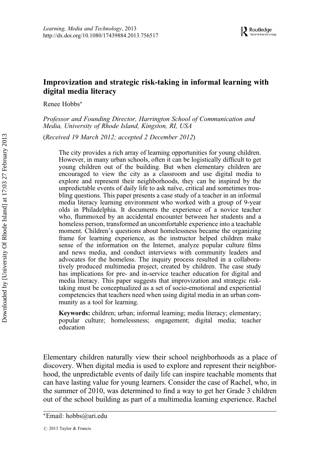# Improvization and strategic risk-taking in informal learning with digital media literacy

Renee Hobbs<sup>∗</sup>

Professor and Founding Director, Harrington School of Communication and Media, University of Rhode Island, Kingston, RI, USA

(Received 19 March 2012; accepted 2 December 2012)

The city provides a rich array of learning opportunities for young children. However, in many urban schools, often it can be logistically difficult to get young children out of the building. But when elementary children are encouraged to view the city as a classroom and use digital media to explore and represent their neighborhoods, they can be inspired by the unpredictable events of daily life to ask naïve, critical and sometimes troubling questions. This paper presents a case study of a teacher in an informal media literacy learning environment who worked with a group of 9-year olds in Philadelphia. It documents the experience of a novice teacher who, flummoxed by an accidental encounter between her students and a homeless person, transformed an uncomfortable experience into a teachable moment. Children's questions about homelessness became the organizing frame for learning experience, as the instructor helped children make sense of the information on the Internet, analyze popular culture films and news media, and conduct interviews with community leaders and advocates for the homeless. The inquiry process resulted in a collaboratively produced multimedia project, created by children. The case study has implications for pre- and in-service teacher education for digital and media literacy. This paper suggests that improvization and strategic risktaking must be conceptualized as a set of socio-emotional and experiential competencies that teachers need when using digital media in an urban community as a tool for learning.

Keywords: children; urban; informal learning; media literacy; elementary; popular culture; homelessness; engagement; digital media; teacher education

Elementary children naturally view their school neighborhoods as a place of discovery. When digital media is used to explore and represent their neighborhood, the unpredictable events of daily life can inspire teachable moments that can have lasting value for young learners. Consider the case of Rachel, who, in the summer of 2010, was determined to find a way to get her Grade 3 children out of the school building as part of a multimedia learning experience. Rachel

<sup>∗</sup>Email: hobbs@uri.edu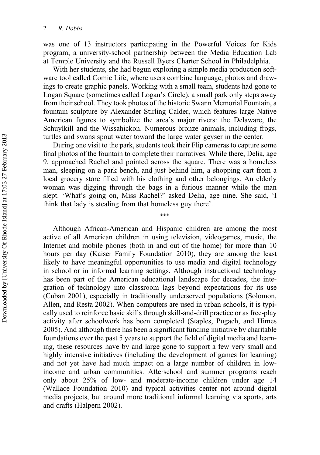was one of 13 instructors participating in the Powerful Voices for Kids program, a university-school partnership between the Media Education Lab at Temple University and the Russell Byers Charter School in Philadelphia.

With her students, she had begun exploring a simple media production software tool called Comic Life, where users combine language, photos and drawings to create graphic panels. Working with a small team, students had gone to Logan Square (sometimes called Logan's Circle), a small park only steps away from their school. They took photos of the historic Swann Memorial Fountain, a fountain sculpture by Alexander Stirling Calder, which features large Native American figures to symbolize the area's major rivers: the Delaware, the Schuylkill and the Wissahickon. Numerous bronze animals, including frogs, turtles and swans spout water toward the large water geyser in the center.

During one visit to the park, students took their Flip cameras to capture some final photos of the fountain to complete their narratives. While there, Delia, age 9, approached Rachel and pointed across the square. There was a homeless man, sleeping on a park bench, and just behind him, a shopping cart from a local grocery store filled with his clothing and other belongings. An elderly woman was digging through the bags in a furious manner while the man slept. 'What's going on, Miss Rachel?' asked Delia, age nine. She said, 'I think that lady is stealing from that homeless guy there'.

∗∗∗

Although African-American and Hispanic children are among the most active of all American children in using television, videogames, music, the Internet and mobile phones (both in and out of the home) for more than 10 hours per day (Kaiser Family Foundation 2010), they are among the least likely to have meaningful opportunities to use media and digital technology in school or in informal learning settings. Although instructional technology has been part of the American educational landscape for decades, the integration of technology into classroom lags beyond expectations for its use (Cuban 2001), especially in traditionally underserved populations (Solomon, Allen, and Resta 2002). When computers are used in urban schools, it is typically used to reinforce basic skills through skill-and-drill practice or as free-play activity after schoolwork has been completed (Staples, Pugach, and Himes 2005). And although there has been a significant funding initiative by charitable foundations over the past 5 years to support the field of digital media and learning, these resources have by and large gone to support a few very small and highly intensive initiatives (including the development of games for learning) and not yet have had much impact on a large number of children in lowincome and urban communities. Afterschool and summer programs reach only about 25% of low- and moderate-income children under age 14 (Wallace Foundation 2010) and typical activities center not around digital media projects, but around more traditional informal learning via sports, arts and crafts (Halpern 2002).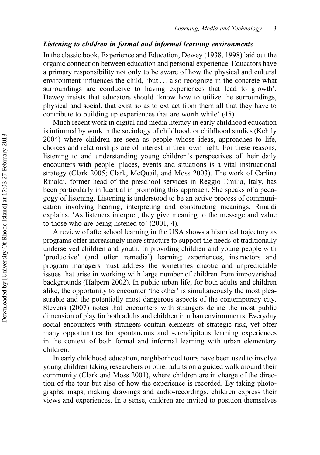## Listening to children in formal and informal learning environments

In the classic book, Experience and Education, Dewey (1938, 1998) laid out the organic connection between education and personal experience. Educators have a primary responsibility not only to be aware of how the physical and cultural environment influences the child, 'but ... also recognize in the concrete what surroundings are conducive to having experiences that lead to growth'. Dewey insists that educators should 'know how to utilize the surroundings, physical and social, that exist so as to extract from them all that they have to contribute to building up experiences that are worth while' (45).

Much recent work in digital and media literacy in early childhood education is informed by work in the sociology of childhood, or childhood studies (Kehily 2004) where children are seen as people whose ideas, approaches to life, choices and relationships are of interest in their own right. For these reasons, listening to and understanding young children's perspectives of their daily encounters with people, places, events and situations is a vital instructional strategy (Clark 2005; Clark, McQuail, and Moss 2003). The work of Carlina Rinaldi, former head of the preschool services in Reggio Emilia, Italy, has been particularly influential in promoting this approach. She speaks of a pedagogy of listening. Listening is understood to be an active process of communication involving hearing, interpreting and constructing meanings. Rinaldi explains, 'As listeners interpret, they give meaning to the message and value to those who are being listened to' (2001, 4).

A review of afterschool learning in the USA shows a historical trajectory as programs offer increasingly more structure to support the needs of traditionally underserved children and youth. In providing children and young people with 'productive' (and often remedial) learning experiences, instructors and program managers must address the sometimes chaotic and unpredictable issues that arise in working with large number of children from impoverished backgrounds (Halpern 2002). In public urban life, for both adults and children alike, the opportunity to encounter 'the other' is simultaneously the most pleasurable and the potentially most dangerous aspects of the contemporary city. Stevens (2007) notes that encounters with strangers define the most public dimension of play for both adults and children in urban environments. Everyday social encounters with strangers contain elements of strategic risk, yet offer many opportunities for spontaneous and serendipitous learning experiences in the context of both formal and informal learning with urban elementary children.

In early childhood education, neighborhood tours have been used to involve young children taking researchers or other adults on a guided walk around their community (Clark and Moss 2001), where children are in charge of the direction of the tour but also of how the experience is recorded. By taking photographs, maps, making drawings and audio-recordings, children express their views and experiences. In a sense, children are invited to position themselves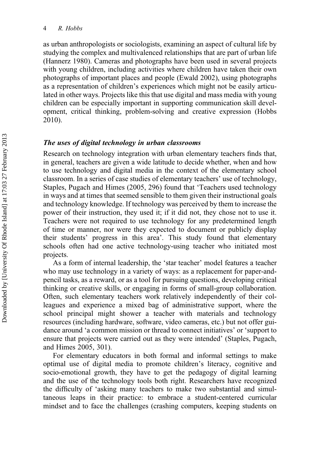as urban anthropologists or sociologists, examining an aspect of cultural life by studying the complex and multivalenced relationships that are part of urban life (Hannerz 1980). Cameras and photographs have been used in several projects with young children, including activities where children have taken their own photographs of important places and people (Ewald 2002), using photographs as a representation of children's experiences which might not be easily articulated in other ways. Projects like this that use digital and mass media with young children can be especially important in supporting communication skill development, critical thinking, problem-solving and creative expression (Hobbs 2010).

## The uses of digital technology in urban classrooms

Research on technology integration with urban elementary teachers finds that, in general, teachers are given a wide latitude to decide whether, when and how to use technology and digital media in the context of the elementary school classroom. In a series of case studies of elementary teachers' use of technology, Staples, Pugach and Himes (2005, 296) found that 'Teachers used technology in ways and at times that seemed sensible to them given their instructional goals and technology knowledge. If technology was perceived by them to increase the power of their instruction, they used it; if it did not, they chose not to use it. Teachers were not required to use technology for any predetermined length of time or manner, nor were they expected to document or publicly display their students' progress in this area'. This study found that elementary schools often had one active technology-using teacher who initiated most projects.

As a form of internal leadership, the 'star teacher' model features a teacher who may use technology in a variety of ways: as a replacement for paper-andpencil tasks, as a reward, or as a tool for pursuing questions, developing critical thinking or creative skills, or engaging in forms of small-group collaboration. Often, such elementary teachers work relatively independently of their colleagues and experience a mixed bag of administrative support, where the school principal might shower a teacher with materials and technology resources (including hardware, software, video cameras, etc.) but not offer guidance around 'a common mission or thread to connect initiatives' or 'support to ensure that projects were carried out as they were intended' (Staples, Pugach, and Himes 2005, 301).

For elementary educators in both formal and informal settings to make optimal use of digital media to promote children's literacy, cognitive and socio-emotional growth, they have to get the pedagogy of digital learning and the use of the technology tools both right. Researchers have recognized the difficulty of 'asking many teachers to make two substantial and simultaneous leaps in their practice: to embrace a student-centered curricular mindset and to face the challenges (crashing computers, keeping students on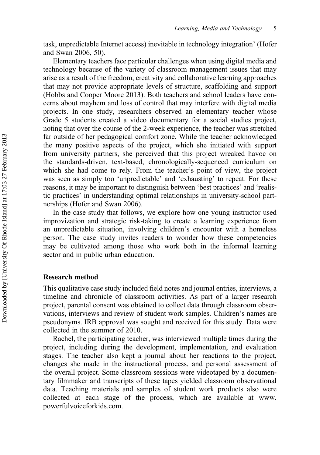task, unpredictable Internet access) inevitable in technology integration' (Hofer and Swan 2006, 50).

Elementary teachers face particular challenges when using digital media and technology because of the variety of classroom management issues that may arise as a result of the freedom, creativity and collaborative learning approaches that may not provide appropriate levels of structure, scaffolding and support (Hobbs and Cooper Moore 2013). Both teachers and school leaders have concerns about mayhem and loss of control that may interfere with digital media projects. In one study, researchers observed an elementary teacher whose Grade 5 students created a video documentary for a social studies project, noting that over the course of the 2-week experience, the teacher was stretched far outside of her pedagogical comfort zone. While the teacher acknowledged the many positive aspects of the project, which she initiated with support from university partners, she perceived that this project wreaked havoc on the standards-driven, text-based, chronologically-sequenced curriculum on which she had come to rely. From the teacher's point of view, the project was seen as simply too 'unpredictable' and 'exhausting' to repeat. For these reasons, it may be important to distinguish between 'best practices' and 'realistic practices' in understanding optimal relationships in university-school partnerships (Hofer and Swan 2006).

In the case study that follows, we explore how one young instructor used improvization and strategic risk-taking to create a learning experience from an unpredictable situation, involving children's encounter with a homeless person. The case study invites readers to wonder how these competencies may be cultivated among those who work both in the informal learning sector and in public urban education.

## Research method

This qualitative case study included field notes and journal entries, interviews, a timeline and chronicle of classroom activities. As part of a larger research project, parental consent was obtained to collect data through classroom observations, interviews and review of student work samples. Children's names are pseudonyms. IRB approval was sought and received for this study. Data were collected in the summer of 2010.

Rachel, the participating teacher, was interviewed multiple times during the project, including during the development, implementation, and evaluation stages. The teacher also kept a journal about her reactions to the project, changes she made in the instructional process, and personal assessment of the overall project. Some classroom sessions were videotaped by a documentary filmmaker and transcripts of these tapes yielded classroom observational data. Teaching materials and samples of student work products also were collected at each stage of the process, which are available at [www.](www.powerfulvoiceforkids.com) [powerfulvoiceforkids.com](www.powerfulvoiceforkids.com).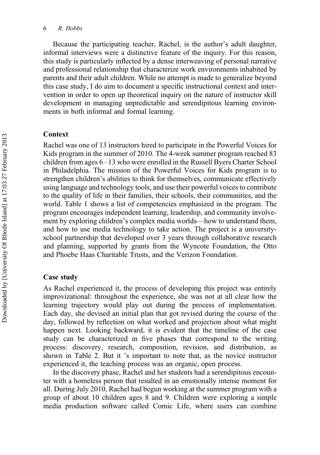Because the participating teacher, Rachel, is the author's adult daughter, informal interviews were a distinctive feature of the inquiry. For this reason, this study is particularly inflected by a dense interweaving of personal narrative and professional relationship that characterize work environments inhabited by parents and their adult children. While no attempt is made to generalize beyond this case study, I do aim to document a specific instructional context and intervention in order to open up theoretical inquiry on the nature of instructor skill development in managing unpredictable and serendipitous learning environments in both informal and formal learning.

#### Context

Rachel was one of 13 instructors hired to participate in the Powerful Voices for Kids program in the summer of 2010. The 4-week summer program reached 83 children from ages 6 –13 who were enrolled in the Russell Byers Charter School in Philadelphia. The mission of the Powerful Voices for Kids program is to strengthen children's abilities to think for themselves, communicate effectively using language and technology tools, and use their powerful voices to contribute to the quality of life in their families, their schools, their communities, and the world. Table 1 shows a list of competencies emphasized in the program. The program encourages independent learning, leadership, and community involvement by exploring children's complex media worlds—how to understand them, and how to use media technology to take action. The project is a universityschool partnership that developed over 3 years through collaborative research and planning, supported by grants from the Wyncote Foundation, the Otto and Phoebe Haas Charitable Trusts, and the Verizon Foundation.

## Case study

As Rachel experienced it, the process of developing this project was entirely improvizational: throughout the experience, she was not at all clear how the learning trajectory would play out during the process of implementation. Each day, she devised an initial plan that got revised during the course of the day, followed by reflection on what worked and projection about what might happen next. Looking backward, it is evident that the timeline of the case study can be characterized in five phases that correspond to the writing process: discovery, research, composition, revision, and distribution, as shown in Table 2. But it 's important to note that, as the novice instructor experienced it, the teaching process was an organic, open process.

In the discovery phase, Rachel and her students had a serendipitous encounter with a homeless person that resulted in an emotionally intense moment for all. During July 2010, Rachel had begun working at the summer program with a group of about 10 children ages 8 and 9. Children were exploring a simple media production software called Comic Life, where users can combine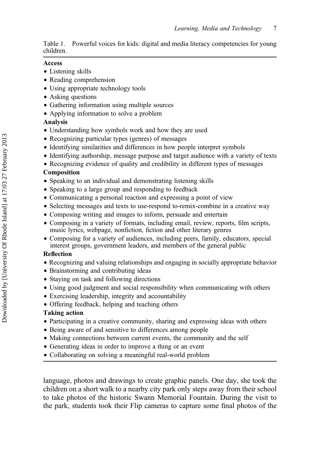Table 1. Powerful voices for kids: digital and media literacy competencies for young children.

# Access

- Listening skills
- Reading comprehension
- Using appropriate technology tools
- Asking questions
- Gathering information using multiple sources
- Applying information to solve a problem

# Analysis

- Understanding how symbols work and how they are used
- Recognizing particular types (genres) of messages
- Identifying similarities and differences in how people interpret symbols
- Identifying authorship, message purpose and target audience with a variety of texts
- † Recognizing evidence of quality and credibility in different types of messages

# Composition

- Speaking to an individual and demonstrating listening skills
- Speaking to a large group and responding to feedback
- Communicating a personal reaction and expressing a point of view
- Selecting messages and texts to use-respond to-remix-combine in a creative way
- Composing writing and images to inform, persuade and entertain
- † Composing in a variety of formats, including email, review, reports, film scripts, music lyrics, webpage, nonfiction, fiction and other literary genres
- † Composing for a variety of audiences, including peers, family, educators, special interest groups, government leaders, and members of the general public

# Reflection

- † Recognizing and valuing relationships and engaging in socially appropriate behavior
- † Brainstorming and contributing ideas
- † Staying on task and following directions
- Using good judgment and social responsibility when communicating with others
- Exercising leadership, integrity and accountability
- Offering feedback, helping and teaching others

# Taking action

- Participating in a creative community, sharing and expressing ideas with others
- † Being aware of and sensitive to differences among people
- Making connections between current events, the community and the self
- Generating ideas in order to improve a thing or an event
- Collaborating on solving a meaningful real-world problem

language, photos and drawings to create graphic panels. One day, she took the children on a short walk to a nearby city park only steps away from their school to take photos of the historic Swann Memorial Fountain. During the visit to the park, students took their Flip cameras to capture some final photos of the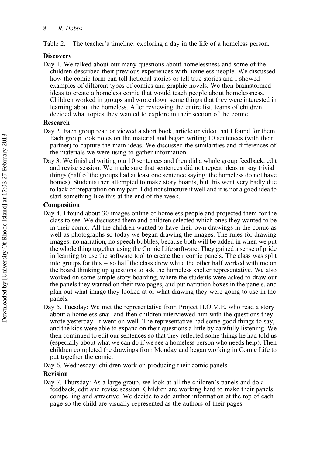#### **Discovery**

Day 1. We talked about our many questions about homelessness and some of the children described their previous experiences with homeless people. We discussed how the comic form can tell fictional stories or tell true stories and I showed examples of different types of comics and graphic novels. We then brainstormed ideas to create a homeless comic that would teach people about homelessness. Children worked in groups and wrote down some things that they were interested in learning about the homeless. After reviewing the entire list, teams of children decided what topics they wanted to explore in their section of the comic.

## Research

- Day 2. Each group read or viewed a short book, article or video that I found for them. Each group took notes on the material and began writing 10 sentences (with their partner) to capture the main ideas. We discussed the similarities and differences of the materials we were using to gather information.
- Day 3. We finished writing our 10 sentences and then did a whole group feedback, edit and revise session. We made sure that sentences did not repeat ideas or say trivial things (half of the groups had at least one sentence saying: the homeless do not have homes). Students then attempted to make story boards, but this went very badly due to lack of preparation on my part. I did not structure it well and it is not a good idea to start something like this at the end of the week.

## Composition

- Day 4. I found about 30 images online of homeless people and projected them for the class to see. We discussed them and children selected which ones they wanted to be in their comic. All the children wanted to have their own drawings in the comic as well as photographs so today we began drawing the images. The rules for drawing images: no narration, no speech bubbles, because both will be added in when we put the whole thing together using the Comic Life software. They gained a sense of pride in learning to use the software tool to create their comic panels. The class was split into groups for this – so half the class drew while the other half worked with me on the board thinking up questions to ask the homeless shelter representative. We also worked on some simple story boarding, where the students were asked to draw out the panels they wanted on their two pages, and put narration boxes in the panels, and plan out what image they looked at or what drawing they were going to use in the panels.
- Day 5. Tuesday: We met the representative from Project H.O.M.E. who read a story about a homeless snail and then children interviewed him with the questions they wrote yesterday. It went on well. The representative had some good things to say, and the kids were able to expand on their questions a little by carefully listening. We then continued to edit our sentences so that they reflected some things he had told us (especially about what we can do if we see a homeless person who needs help). Then children completed the drawings from Monday and began working in Comic Life to put together the comic.

Day 6. Wednesday: children work on producing their comic panels.

## Revision

Day 7. Thursday: As a large group, we look at all the children's panels and do a feedback, edit and revise session. Children are working hard to make their panels compelling and attractive. We decide to add author information at the top of each page so the child are visually represented as the authors of their pages.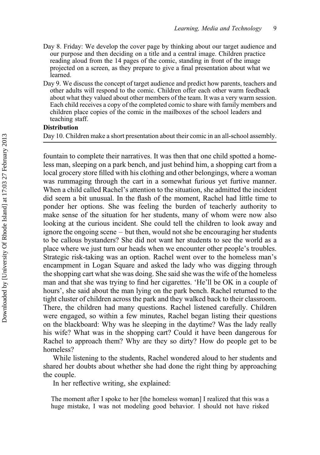- Day 8. Friday: We develop the cover page by thinking about our target audience and our purpose and then deciding on a title and a central image. Children practice reading aloud from the 14 pages of the comic, standing in front of the image projected on a screen, as they prepare to give a final presentation about what we learned.
- Day 9. We discuss the concept of target audience and predict how parents, teachers and other adults will respond to the comic. Children offer each other warm feedback about what they valued about other members of the team. It was a very warm session. Each child receives a copy of the completed comic to share with family members and children place copies of the comic in the mailboxes of the school leaders and teaching staff.

### **Distribution**

Day 10. Children make a short presentation about their comic in an all-school assembly.

fountain to complete their narratives. It was then that one child spotted a homeless man, sleeping on a park bench, and just behind him, a shopping cart from a local grocery store filled with his clothing and other belongings, where a woman was rummaging through the cart in a somewhat furious yet furtive manner. When a child called Rachel's attention to the situation, she admitted the incident did seem a bit unusual. In the flash of the moment, Rachel had little time to ponder her options. She was feeling the burden of teacherly authority to make sense of the situation for her students, many of whom were now also looking at the curious incident. She could tell the children to look away and ignore the ongoing scene – but then, would not she be encouraging her students to be callous bystanders? She did not want her students to see the world as a place where we just turn our heads when we encounter other people's troubles. Strategic risk-taking was an option. Rachel went over to the homeless man's encampment in Logan Square and asked the lady who was digging through the shopping cart what she was doing. She said she was the wife of the homeless man and that she was trying to find her cigarettes. 'He'll be OK in a couple of hours', she said about the man lying on the park bench. Rachel returned to the tight cluster of children across the park and they walked back to their classroom. There, the children had many questions. Rachel listened carefully. Children were engaged, so within a few minutes, Rachel began listing their questions on the blackboard: Why was he sleeping in the daytime? Was the lady really his wife? What was in the shopping cart? Could it have been dangerous for Rachel to approach them? Why are they so dirty? How do people get to be homeless?

While listening to the students, Rachel wondered aloud to her students and shared her doubts about whether she had done the right thing by approaching the couple.

In her reflective writing, she explained:

The moment after I spoke to her [the homeless woman] I realized that this was a huge mistake, I was not modeling good behavior. I should not have risked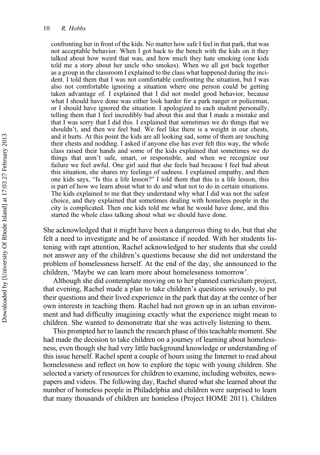confronting her in front of the kids. No matter how safe I feel in that park, that was not acceptable behavior. When I got back to the bench with the kids on it they talked about how weird that was, and how much they hate smoking (one kids told me a story about her uncle who smokes). When we all got back together as a group in the classroom I explained to the class what happened during the incident. I told them that I was not comfortable confronting the situation, but I was also not comfortable ignoring a situation where one person could be getting taken advantage of. I explained that I did not model good behavior, because what I should have done was either look harder for a park ranger or policeman, or I should have ignored the situation. I apologized to each student personally, telling them that I feel incredibly bad about this and that I made a mistake and that I was sorry that I did this. I explained that sometimes we do things that we shouldn't, and then we feel bad. We feel like there is a weight in our chests, and it hurts. At this point the kids are all looking sad, some of them are touching their chests and nodding. I asked if anyone else has ever felt this way, the whole class raised their hands and some of the kids explained that sometimes we do things that aren't safe, smart, or responsible, and when we recognize our failure we feel awful. One girl said that she feels bad because I feel bad about this situation, she shares my feelings of sadness. I explained empathy, and then one kids says, "Is this a life lesson?" I told them that this is a life lesson, this is part of how we learn about what to do and what not to do in certain situations. The kids explained to me that they understand why what I did was not the safest choice, and they explained that sometimes dealing with homeless people in the city is complicated. Then one kids told me what he would have done, and this started the whole class talking about what we should have done.

She acknowledged that it might have been a dangerous thing to do, but that she felt a need to investigate and be of assistance if needed. With her students listening with rapt attention, Rachel acknowledged to her students that she could not answer any of the children's questions because she did not understand the problem of homelessness herself. At the end of the day, she announced to the children, 'Maybe we can learn more about homelessness tomorrow'.

Although she did contemplate moving on to her planned curriculum project, that evening, Rachel made a plan to take children's questions seriously, to put their questions and their lived experience in the park that day at the center of her own interests in teaching them. Rachel had not grown up in an urban environment and had difficulty imagining exactly what the experience might mean to children. She wanted to demonstrate that she was actively listening to them.

This prompted her to launch the research phase of this teachable moment. She had made the decision to take children on a journey of learning about homelessness, even though she had very little background knowledge or understanding of this issue herself. Rachel spent a couple of hours using the Internet to read about homelessness and reflect on how to explore the topic with young children. She selected a variety of resources for children to examine, including websites, newspapers and videos. The following day, Rachel shared what she learned about the number of homeless people in Philadelphia and children were surprised to learn that many thousands of children are homeless (Project HOME 2011). Children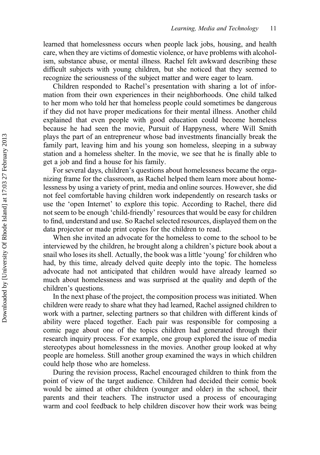learned that homelessness occurs when people lack jobs, housing, and health care, when they are victims of domestic violence, or have problems with alcoholism, substance abuse, or mental illness. Rachel felt awkward describing these difficult subjects with young children, but she noticed that they seemed to recognize the seriousness of the subject matter and were eager to learn.

Children responded to Rachel's presentation with sharing a lot of information from their own experiences in their neighborhoods. One child talked to her mom who told her that homeless people could sometimes be dangerous if they did not have proper medications for their mental illness. Another child explained that even people with good education could become homeless because he had seen the movie, Pursuit of Happyness, where Will Smith plays the part of an entrepreneur whose bad investments financially break the family part, leaving him and his young son homeless, sleeping in a subway station and a homeless shelter. In the movie, we see that he is finally able to get a job and find a house for his family.

For several days, children's questions about homelessness became the organizing frame for the classroom, as Rachel helped them learn more about homelessness by using a variety of print, media and online sources. However, she did not feel comfortable having children work independently on research tasks or use the 'open Internet' to explore this topic. According to Rachel, there did not seem to be enough 'child-friendly' resources that would be easy for children to find, understand and use. So Rachel selected resources, displayed them on the data projector or made print copies for the children to read.

When she invited an advocate for the homeless to come to the school to be interviewed by the children, he brought along a children's picture book about a snail who loses its shell. Actually, the book was a little 'young' for children who had, by this time, already delved quite deeply into the topic. The homeless advocate had not anticipated that children would have already learned so much about homelessness and was surprised at the quality and depth of the children's questions.

In the next phase of the project, the composition process was initiated. When children were ready to share what they had learned, Rachel assigned children to work with a partner, selecting partners so that children with different kinds of ability were placed together. Each pair was responsible for composing a comic page about one of the topics children had generated through their research inquiry process. For example, one group explored the issue of media stereotypes about homelessness in the movies. Another group looked at why people are homeless. Still another group examined the ways in which children could help those who are homeless.

During the revision process, Rachel encouraged children to think from the point of view of the target audience. Children had decided their comic book would be aimed at other children (younger and older) in the school, their parents and their teachers. The instructor used a process of encouraging warm and cool feedback to help children discover how their work was being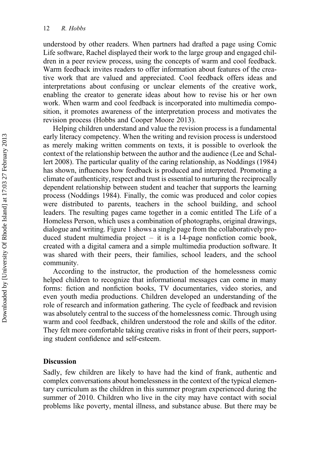understood by other readers. When partners had drafted a page using Comic Life software, Rachel displayed their work to the large group and engaged children in a peer review process, using the concepts of warm and cool feedback. Warm feedback invites readers to offer information about features of the creative work that are valued and appreciated. Cool feedback offers ideas and interpretations about confusing or unclear elements of the creative work, enabling the creator to generate ideas about how to revise his or her own work. When warm and cool feedback is incorporated into multimedia composition, it promotes awareness of the interpretation process and motivates the revision process (Hobbs and Cooper Moore 2013).

Helping children understand and value the revision process is a fundamental early literacy competency. When the writing and revision process is understood as merely making written comments on texts, it is possible to overlook the context of the relationship between the author and the audience (Lee and Schallert 2008). The particular quality of the caring relationship, as Noddings (1984) has shown, influences how feedback is produced and interpreted. Promoting a climate of authenticity, respect and trust is essential to nurturing the reciprocally dependent relationship between student and teacher that supports the learning process (Noddings 1984). Finally, the comic was produced and color copies were distributed to parents, teachers in the school building, and school leaders. The resulting pages came together in a comic entitled The Life of a Homeless Person, which uses a combination of photographs, original drawings, dialogue and writing. Figure 1 shows a single page from the collaboratively produced student multimedia project – it is a 14-page nonfiction comic book, created with a digital camera and a simple multimedia production software. It was shared with their peers, their families, school leaders, and the school community.

According to the instructor, the production of the homelessness comic helped children to recognize that informational messages can come in many forms: fiction and nonfiction books, TV documentaries, video stories, and even youth media productions. Children developed an understanding of the role of research and information gathering. The cycle of feedback and revision was absolutely central to the success of the homelessness comic. Through using warm and cool feedback, children understood the role and skills of the editor. They felt more comfortable taking creative risks in front of their peers, supporting student confidence and self-esteem.

#### Discussion

Sadly, few children are likely to have had the kind of frank, authentic and complex conversations about homelessness in the context of the typical elementary curriculum as the children in this summer program experienced during the summer of 2010. Children who live in the city may have contact with social problems like poverty, mental illness, and substance abuse. But there may be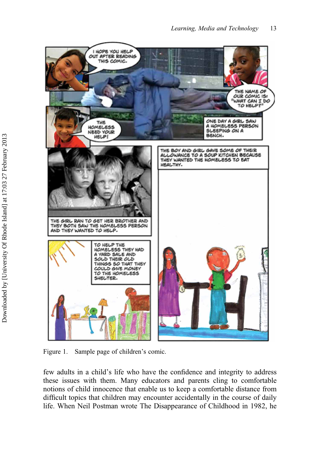

Figure 1. Sample page of children's comic.

few adults in a child's life who have the confidence and integrity to address these issues with them. Many educators and parents cling to comfortable notions of child innocence that enable us to keep a comfortable distance from difficult topics that children may encounter accidentally in the course of daily life. When Neil Postman wrote The Disappearance of Childhood in 1982, he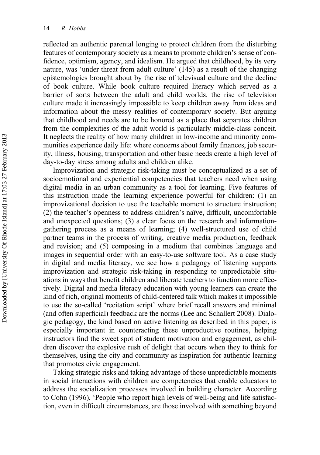reflected an authentic parental longing to protect children from the disturbing features of contemporary society as a means to promote children's sense of confidence, optimism, agency, and idealism. He argued that childhood, by its very nature, was 'under threat from adult culture' (145) as a result of the changing epistemologies brought about by the rise of televisual culture and the decline of book culture. While book culture required literacy which served as a barrier of sorts between the adult and child worlds, the rise of television culture made it increasingly impossible to keep children away from ideas and information about the messy realities of contemporary society. But arguing that childhood and needs are to be honored as a place that separates children from the complexities of the adult world is particularly middle-class conceit. It neglects the reality of how many children in low-income and minority communities experience daily life: where concerns about family finances, job security, illness, housing, transportation and other basic needs create a high level of day-to-day stress among adults and children alike.

Improvization and strategic risk-taking must be conceptualized as a set of socioemotional and experiential competencies that teachers need when using digital media in an urban community as a tool for learning. Five features of this instruction made the learning experience powerful for children: (1) an improvizational decision to use the teachable moment to structure instruction;  $(2)$  the teacher's openness to address children's naïve, difficult, uncomfortable and unexpected questions; (3) a clear focus on the research and informationgathering process as a means of learning; (4) well-structured use of child partner teams in the process of writing, creative media production, feedback and revision; and (5) composing in a medium that combines language and images in sequential order with an easy-to-use software tool. As a case study in digital and media literacy, we see how a pedagogy of listening supports improvization and strategic risk-taking in responding to unpredictable situations in ways that benefit children and liberate teachers to function more effectively. Digital and media literacy education with young learners can create the kind of rich, original moments of child-centered talk which makes it impossible to use the so-called 'recitation script' where brief recall answers and minimal (and often superficial) feedback are the norms (Lee and Schallert 2008). Dialogic pedagogy, the kind based on active listening as described in this paper, is especially important in counteracting these unproductive routines, helping instructors find the sweet spot of student motivation and engagement, as children discover the explosive rush of delight that occurs when they to think for themselves, using the city and community as inspiration for authentic learning that promotes civic engagement.

Taking strategic risks and taking advantage of those unpredictable moments in social interactions with children are competencies that enable educators to address the socialization processes involved in building character. According to Cohn (1996), 'People who report high levels of well-being and life satisfaction, even in difficult circumstances, are those involved with something beyond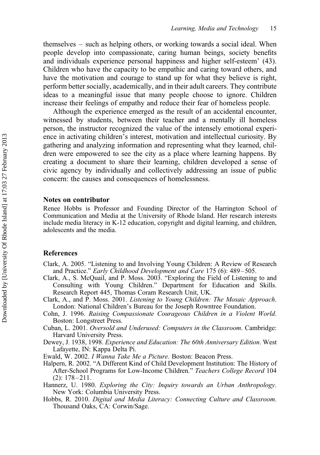themselves – such as helping others, or working towards a social ideal. When people develop into compassionate, caring human beings, society benefits and individuals experience personal happiness and higher self-esteem' (43). Children who have the capacity to be empathic and caring toward others, and have the motivation and courage to stand up for what they believe is right, perform better socially, academically, and in their adult careers. They contribute ideas to a meaningful issue that many people choose to ignore. Children increase their feelings of empathy and reduce their fear of homeless people.

Although the experience emerged as the result of an accidental encounter, witnessed by students, between their teacher and a mentally ill homeless person, the instructor recognized the value of the intensely emotional experience in activating children's interest, motivation and intellectual curiosity. By gathering and analyzing information and representing what they learned, children were empowered to see the city as a place where learning happens. By creating a document to share their learning, children developed a sense of civic agency by individually and collectively addressing an issue of public concern: the causes and consequences of homelessness.

#### Notes on contributor

Renee Hobbs is Professor and Founding Director of the Harrington School of Communication and Media at the University of Rhode Island. Her research interests include media literacy in K-12 education, copyright and digital learning, and children, adolescents and the media.

#### References

- Clark, A. 2005. "Listening to and Involving Young Children: A Review of Research and Practice." Early Childhood Development and Care 175 (6): 489–505.
- Clark, A., S. McQuail, and P. Moss. 2003. "Exploring the Field of Listening to and Consulting with Young Children." Department for Education and Skills. Research Report 445, Thomas Coram Research Unit, UK.
- Clark, A., and P. Moss. 2001. Listening to Young Children: The Mosaic Approach. London: National Children's Bureau for the Joseph Rowntree Foundation.
- Cohn, J. 1996. Raising Compassionate Courageous Children in a Violent World. Boston: Longstreet Press.
- Cuban, L. 2001. Oversold and Underused: Computers in the Classroom. Cambridge: Harvard University Press.
- Dewey, J. 1938, 1998. Experience and Education: The 60th Anniversary Edition. West Lafayette, IN: Kappa Delta Pi.
- Ewald, W. 2002. I Wanna Take Me a Picture. Boston: Beacon Press.
- Halpern, R. 2002. "A Different Kind of Child Development Institution: The History of After-School Programs for Low-Income Children." Teachers College Record 104 (2): 178–211.
- Hannerz, U. 1980. Exploring the City: Inquiry towards an Urban Anthropology. New York: Columbia University Press.
- Hobbs, R. 2010. Digital and Media Literacy: Connecting Culture and Classroom. Thousand Oaks, CA: Corwin/Sage.